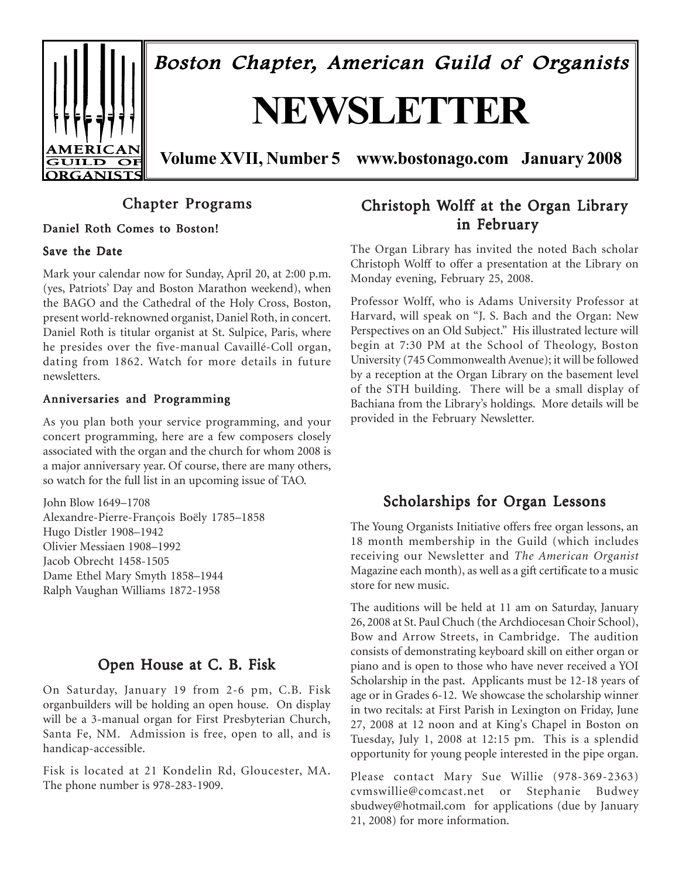

Boston Chapter, American Guild of Organists

# **NEWSLETTER**

**Volume XVII, Number 5 www.bostonago.com January 2008**

# Chapter Programs

# Daniel Roth Comes to Boston!

# Save the Date

Mark your calendar now for Sunday, April 20, at 2:00 p.m. (yes, Patriots' Day and Boston Marathon weekend), when the BAGO and the Cathedral of the Holy Cross, Boston, present world-reknowned organist, Daniel Roth, in concert. Daniel Roth is titular organist at St. Sulpice, Paris, where he presides over the five-manual Cavaillé-Coll organ, dating from 1862. Watch for more details in future newsletters.

# Anniversaries and Programming

As you plan both your service programming, and your concert programming, here are a few composers closely associated with the organ and the church for whom 2008 is a major anniversary year. Of course, there are many others, so watch for the full list in an upcoming issue of TAO.

John Blow 1649–1708 Alexandre-Pierre-François Boëly 1785–1858 Hugo Distler 1908–1942 Olivier Messiaen 1908–1992 Jacob Obrecht 1458-1505 Dame Ethel Mary Smyth 1858–1944 Ralph Vaughan Williams 1872-1958

# Open House at C. B. Fisk

On Saturday, January 19 from 2-6 pm, C.B. Fisk organbuilders will be holding an open house. On display will be a 3-manual organ for First Presbyterian Church, Santa Fe, NM. Admission is free, open to all, and is handicap-accessible.

Fisk is located at 21 Kondelin Rd, Gloucester, MA. The phone number is 978-283-1909.

# Christoph Wolff at the Organ Library in February

The Organ Library has invited the noted Bach scholar Christoph Wolff to offer a presentation at the Library on Monday evening, February 25, 2008.

Professor Wolff, who is Adams University Professor at Harvard, will speak on "J. S. Bach and the Organ: New Perspectives on an Old Subject." His illustrated lecture will begin at 7:30 PM at the School of Theology, Boston University (745 Commonwealth Avenue); it will be followed by a reception at the Organ Library on the basement level of the STH building. There will be a small display of Bachiana from the Library's holdings. More details will be provided in the February Newsletter.

# Scholarships for Organ Lessons

The Young Organists Initiative offers free organ lessons, an 18 month membership in the Guild (which includes receiving our Newsletter and *The American Organist* Magazine each month), as well as a gift certificate to a music store for new music.

The auditions will be held at 11 am on Saturday, January 26, 2008 at St. Paul Chuch (the Archdiocesan Choir School), Bow and Arrow Streets, in Cambridge. The audition consists of demonstrating keyboard skill on either organ or piano and is open to those who have never received a YOI Scholarship in the past. Applicants must be 12-18 years of age or in Grades 6-12. We showcase the scholarship winner in two recitals: at First Parish in Lexington on Friday, June 27, 2008 at 12 noon and at King's Chapel in Boston on Tuesday, July 1, 2008 at 12:15 pm. This is a splendid opportunity for young people interested in the pipe organ.

Please contact Mary Sue Willie (978-369-2363) cvmswillie@comcast.net or Stephanie Budwey sbudwey@hotmail.com for applications (due by January 21, 2008) for more information.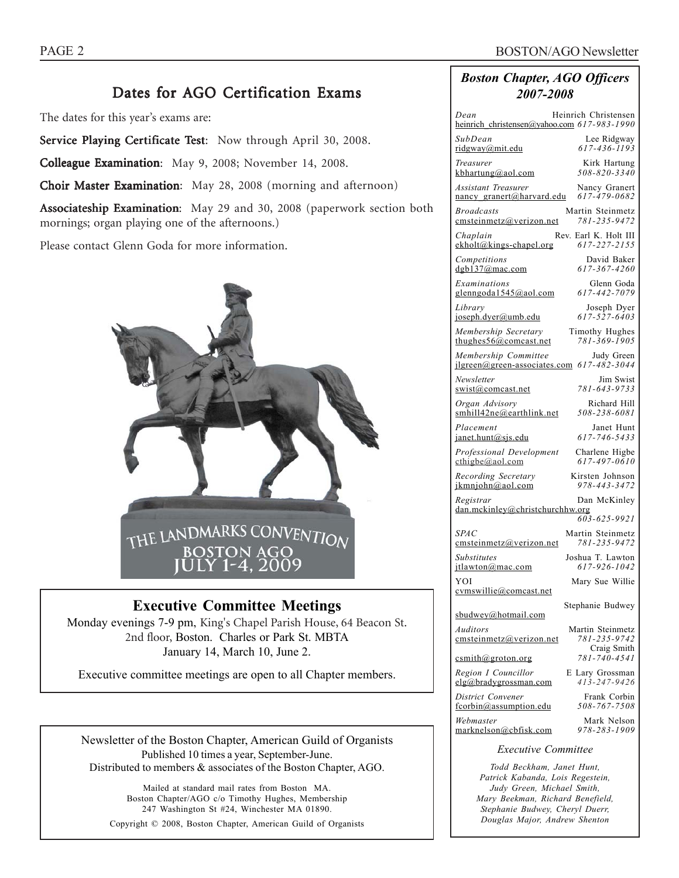# Dates for AGO Certification Exams

The dates for this year's exams are:

Service Playing Certificate Test: Now through April 30, 2008.

Colleague Examination: May 9, 2008; November 14, 2008.

Choir Master Examination: May 28, 2008 (morning and afternoon)

Associateship Examination: May 29 and 30, 2008 (paperwork section both mornings; organ playing one of the afternoons.)

Please contact Glenn Goda for more information.



# **Executive Committee Meetings**

Monday evenings 7-9 pm, King's Chapel Parish House, 64 Beacon St. 2nd floor, Boston. Charles or Park St. MBTA January 14, March 10, June 2.

Executive committee meetings are open to all Chapter members.

Newsletter of the Boston Chapter, American Guild of Organists Published 10 times a year, September-June. Distributed to members & associates of the Boston Chapter, AGO.

Mailed at standard mail rates from Boston MA. Boston Chapter/AGO c/o Timothy Hughes, Membership 247 Washington St #24, Winchester MA 01890. Copyright © 2008, Boston Chapter, American Guild of Organists *Boston Chapter, AGO Officers 2007-2008*

| Dean<br>Heinrich Christensen<br>heinrich christensen@yahoo.com 617-983-1990               |
|-------------------------------------------------------------------------------------------|
| SubDean<br>Lee Ridgway<br>617-436-1193<br>ridgway@mit.edu                                 |
| Treasurer<br>Kirk Hartung<br>508-820-3340<br>kbhartung@aol.com                            |
| Assistant Treasurer<br>Nancy Granert<br>617-479-0682<br>nancy_granert@harvard.edu         |
| <b>Broadcasts</b><br>Martin Steinmetz<br>781-235-9472<br>cmsteinmetz@verizon.net          |
| Rev. Earl K. Holt III<br>Chaplain<br>$ekholt@kings-chapel.org$<br>617-227-2155            |
| David Baker<br>Competitions<br>dgb137@mac.com<br>617-367-4260                             |
| Examinations<br>Glenn Goda<br>glenngoda1545@aol.com<br>617-442-7079                       |
| Library<br>Joseph Dyer<br>joseph.dyer@umb.edu<br>617-527-6403                             |
| Membership Secretary<br>Timothy Hughes<br>781-369-1905<br>thughes $56@$ comcast.net       |
| Membership Committee<br>Judy Green<br>jlgreen@green-associates.com 617-482-3044           |
| Newsletter<br>Jim Swist<br>781-643-9733<br>swist@comcast.net                              |
| Organ Advisory<br>Richard Hill<br>smhill42ne@earthlink.net<br>508-238-6081                |
| Placement<br>Janet Hunt<br>617-746-5433<br>janet.hunt@sjs.edu                             |
| Professional Development<br>Charlene Higbe<br>617-497-0610<br>$\text{cthigbe}(a)$ aol.com |
| Recording Secretary<br>Kirsten Johnson<br>978-443-3472<br>ikmniohn@aol.com                |
| Registrar<br>Dan McKinley<br>dan.mckinley@christchurchhw.org<br>603-625-9921              |
| <b>SPAC</b><br>Martin Steinmetz<br>781-235-9472<br>emsteinmetz@verizon.net                |
| Joshua T. Lawton<br><b>Substitutes</b><br>617-926-1042<br>itlawton@mac.com                |
| YOI<br>Mary Sue Willie<br>cymswillie@comcast.net                                          |
| Stephanie Budwey<br>sbudwey@hotmail.com                                                   |
| Martin Steinmetz<br>Auditors<br>781-235-9742<br>emsteinmetz@verizon.net                   |
| Craig Smith<br>781-740-4541<br>csmith@groton.org                                          |
| Region I Councillor<br>E Lary Grossman<br>$413 - 247 - 9426$<br>elg@bradvgrossman.com     |
| District Convener<br>Frank Corbin<br>508-767-7508<br>fcorbin@assumption.edu               |
| Webmaster<br>Mark Nelson<br>978-283-1909<br>marknelson@cbfisk.com                         |
| <b>Executive Committee</b>                                                                |

*Todd Beckham, Janet Hunt, Patrick Kabanda, Lois Regestein, Judy Green, Michael Smith, Mary Beekman, Richard Benefield, Stephanie Budwey, Cheryl Duerr, Douglas Major, Andrew Shenton*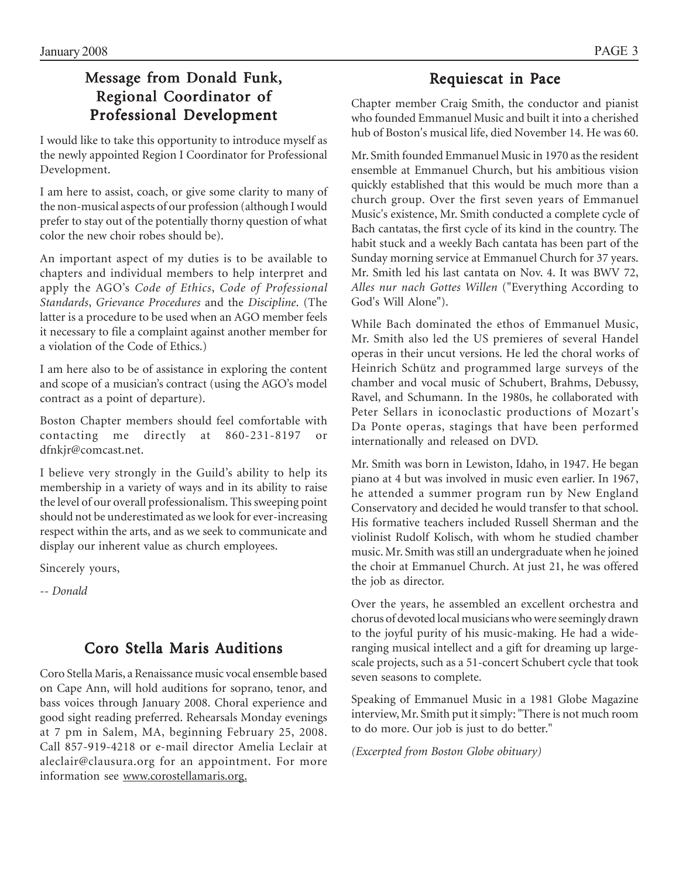# Message from Donald Funk, Regional Coordinator of Professional Development

I would like to take this opportunity to introduce myself as the newly appointed Region I Coordinator for Professional Development.

I am here to assist, coach, or give some clarity to many of the non-musical aspects of our profession (although I would prefer to stay out of the potentially thorny question of what color the new choir robes should be).

An important aspect of my duties is to be available to chapters and individual members to help interpret and apply the AGO's *Code of Ethics*, *Code of Professional Standards*, *Grievance Procedures* and the *Discipline*. (The latter is a procedure to be used when an AGO member feels it necessary to file a complaint against another member for a violation of the Code of Ethics.)

I am here also to be of assistance in exploring the content and scope of a musician's contract (using the AGO's model contract as a point of departure).

Boston Chapter members should feel comfortable with contacting me directly at 860-231-8197 or dfnkjr@comcast.net.

I believe very strongly in the Guild's ability to help its membership in a variety of ways and in its ability to raise the level of our overall professionalism. This sweeping point should not be underestimated as we look for ever-increasing respect within the arts, and as we seek to communicate and display our inherent value as church employees.

Sincerely yours,

*-- Donald*

# Coro Stella Maris Auditions

Coro Stella Maris, a Renaissance music vocal ensemble based on Cape Ann, will hold auditions for soprano, tenor, and bass voices through January 2008. Choral experience and good sight reading preferred. Rehearsals Monday evenings at 7 pm in Salem, MA, beginning February 25, 2008. Call 857-919-4218 or e-mail director Amelia Leclair at aleclair@clausura.org for an appointment. For more information see www.corostellamaris.org.

# Requiescat in Pace

Chapter member Craig Smith, the conductor and pianist who founded Emmanuel Music and built it into a cherished hub of Boston's musical life, died November 14. He was 60.

Mr. Smith founded Emmanuel Music in 1970 as the resident ensemble at Emmanuel Church, but his ambitious vision quickly established that this would be much more than a church group. Over the first seven years of Emmanuel Music's existence, Mr. Smith conducted a complete cycle of Bach cantatas, the first cycle of its kind in the country. The habit stuck and a weekly Bach cantata has been part of the Sunday morning service at Emmanuel Church for 37 years. Mr. Smith led his last cantata on Nov. 4. It was BWV 72, *Alles nur nach Gottes Willen* ("Everything According to God's Will Alone").

While Bach dominated the ethos of Emmanuel Music, Mr. Smith also led the US premieres of several Handel operas in their uncut versions. He led the choral works of Heinrich Schütz and programmed large surveys of the chamber and vocal music of Schubert, Brahms, Debussy, Ravel, and Schumann. In the 1980s, he collaborated with Peter Sellars in iconoclastic productions of Mozart's Da Ponte operas, stagings that have been performed internationally and released on DVD.

Mr. Smith was born in Lewiston, Idaho, in 1947. He began piano at 4 but was involved in music even earlier. In 1967, he attended a summer program run by New England Conservatory and decided he would transfer to that school. His formative teachers included Russell Sherman and the violinist Rudolf Kolisch, with whom he studied chamber music. Mr. Smith was still an undergraduate when he joined the choir at Emmanuel Church. At just 21, he was offered the job as director.

Over the years, he assembled an excellent orchestra and chorus of devoted local musicians who were seemingly drawn to the joyful purity of his music-making. He had a wideranging musical intellect and a gift for dreaming up largescale projects, such as a 51-concert Schubert cycle that took seven seasons to complete.

Speaking of Emmanuel Music in a 1981 Globe Magazine interview, Mr. Smith put it simply: "There is not much room to do more. Our job is just to do better."

*(Excerpted from Boston Globe obituary)*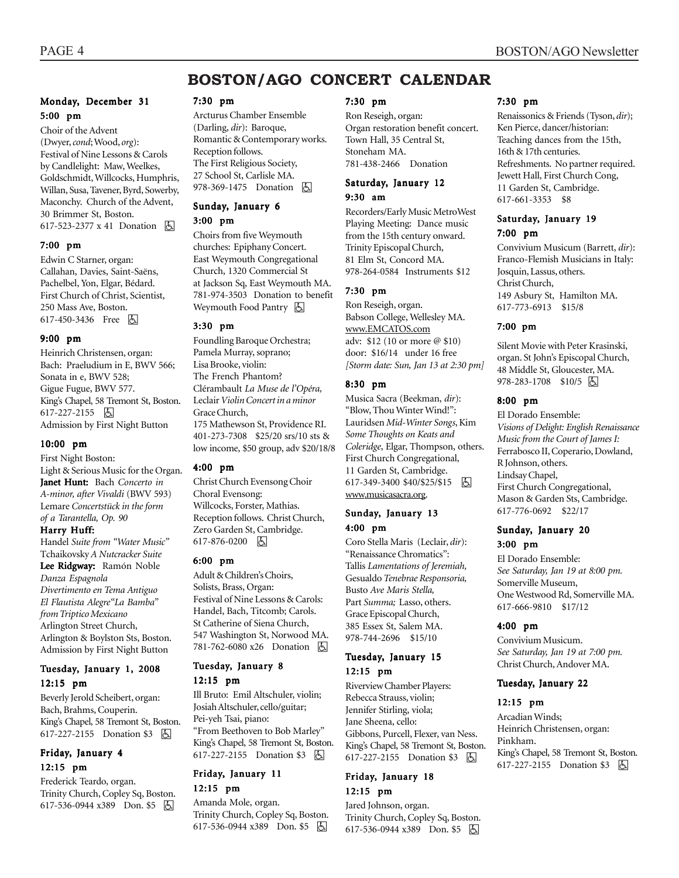# **BOSTON/AGO CONCERT CALENDAR**

# Monday, December 31 5:00 pm

Choir of the Advent (Dwyer, *cond*; Wood, *org*): Festival of Nine Lessons & Carols by Candlelight: Maw, Weelkes, Goldschmidt, Willcocks, Humphris, Willan, Susa, Tavener, Byrd, Sowerby, Maconchy. Church of the Advent, 30 Brimmer St, Boston. 617-523-2377 x 41 Donation **囚** 

#### 7:00 pm

Edwin C Starner, organ: Callahan, Davies, Saint-Saëns, Pachelbel, Yon, Elgar, Bédard. First Church of Christ, Scientist, 250 Mass Ave, Boston. 617-450-3436 Free 因

#### 9:00 pm

Heinrich Christensen, organ: Bach: Praeludium in E, BWV 566; Sonata in e, BWV 528; Gigue Fugue, BWV 577. King's Chapel, 58 Tremont St, Boston. 617-227-2155 因 Admission by First Night Button

#### 10:00 pm

First Night Boston:

Light & Serious Music for the Organ. Janet Hunt: Hunt: Bach *Concerto in A-minor, after Vivaldi* (BWV 593) Lemare *Concertstück in the form of a Tarantella, Op. 90*

#### Harry Huff:

Handel *Suite from "Water Music"* Tchaikovsky *A Nutcracker Suite*

# Lee Ridgway: Ramón Noble

*Danza Espagnola Divertimento en Tema Antiguo El Flautista Alegre"La Bamba" from Triptico Mexicano* Arlington Street Church, Arlington & Boylston Sts, Boston. Admission by First Night Button

#### Tuesday, January 1, 2008 12:15 pm

Beverly Jerold Scheibert, organ: Bach, Brahms, Couperin. King's Chapel, 58 Tremont St, Boston. 617-227-2155 Donation \$3 因

# Friday, January 4 12:15 pm

Frederick Teardo, organ. Trinity Church, Copley Sq, Boston. 617-536-0944 x389 Don. \$5 因

#### 7:30 pm

Arcturus Chamber Ensemble (Darling, *dir*): Baroque, Romantic & Contemporary works. Reception follows. The First Religious Society, 27 School St, Carlisle MA. 978-369-1475 Donation **囚** 

#### Sunday, January 6

#### 3:00 pm

Choirs from five Weymouth churches: Epiphany Concert. East Weymouth Congregational Church, 1320 Commercial St at Jackson Sq, East Weymouth MA. 781-974-3503 Donation to benefit Weymouth Food Pantry **b** 

#### 3:30 pm

Foundling Baroque Orchestra; Pamela Murray, soprano; Lisa Brooke, violin: The French Phantom? Clérambault *La Muse de l'Opéra,* Leclair *Violin Concert in a minor* Grace Church, 175 Mathewson St, Providence RI. 401-273-7308 \$25/20 srs/10 sts & low income, \$50 group, adv \$20/18/8

#### 4:00 pm

Christ Church Evensong Choir Choral Evensong: Willcocks, Forster, Mathias. Reception follows. Christ Church, Zero Garden St, Cambridge. 617-876-0200 因

#### 6:00 pm

Adult & Children's Choirs, Solists, Brass, Organ: Festival of Nine Lessons & Carols: Handel, Bach, Titcomb; Carols. St Catherine of Siena Church, 547 Washington St, Norwood MA. 781-762-6080 x26 Donation h

## Tuesday, January 8 12:15 pm

Ill Bruto: Emil Altschuler, violin; Josiah Altschuler, cello/guitar; Pei-yeh Tsai, piano: "From Beethoven to Bob Marley" King's Chapel, 58 Tremont St, Boston. 617-227-2155 Donation \$3 **b** 

#### Friday, January 11 12:15 pm

#### Amanda Mole, organ.

Trinity Church, Copley Sq, Boston. 617-536-0944 x389 Don. \$5 因

#### 7:30 pm

Ron Reseigh, organ: Organ restoration benefit concert. Town Hall, 35 Central St, Stoneham MA. 781-438-2466 Donation

#### Saturday, January 12 9:30 am

Recorders/Early Music MetroWest Playing Meeting: Dance music from the 15th century onward. Trinity Episcopal Church, 81 Elm St, Concord MA. 978-264-0584 Instruments \$12

## 7:30 pm

Ron Reseigh, organ. Babson College, Wellesley MA. www.EMCATOS.com adv: \$12 (10 or more @ \$10) door: \$16/14 under 16 free *[Storm date: Sun, Jan 13 at 2:30 pm]*

#### 8:30 pm

Musica Sacra (Beekman, *dir*): "Blow, Thou Winter Wind!": Lauridsen *Mid-Winter Songs*, Kim *Some Thoughts on Keats and Coleridge*, Elgar, Thompson, others. First Church Congregational, 11 Garden St, Cambridge. 617-349-3400 \$40/\$25/\$15 | 6 www.musicasacra.org.

#### Sunday, January 13 4:00 pm

Coro Stella Maris (Leclair, *dir*): "Renaissance Chromatics": Tallis *Lamentations of Jeremiah,* Gesualdo *Tenebrae Responsoria,* Busto *Ave Maris Stella,* Part *Summa;* Lasso, others. Grace Episcopal Church, 385 Essex St, Salem MA. 978-744-2696 \$15/10

## Tuesday, January 15 12:15 pm

Riverview Chamber Players: Rebecca Strauss, violin; Jennifer Stirling, viola; Jane Sheena, cello: Gibbons, Purcell, Flexer, van Ness. King's Chapel, 58 Tremont St, Boston. 617-227-2155 Donation \$3 | A

# Friday, January 18 12:15 pm

Jared Johnson, organ. Trinity Church, Copley Sq, Boston. 617-536-0944 x389 Don. \$5 &

#### 7:30 pm

Renaissonics & Friends (Tyson, *dir*); Ken Pierce, dancer/historian: Teaching dances from the 15th, 16th & 17th centuries. Refreshments. No partner required. Jewett Hall, First Church Cong, 11 Garden St, Cambridge. 617-661-3353 \$8

#### Saturday, January 19 7:00 pm

Convivium Musicum (Barrett, *dir*): Franco-Flemish Musicians in Italy: Josquin, Lassus, others. Christ Church, 149 Asbury St, Hamilton MA. 617-773-6913 \$15/8

#### 7:00 pm

Silent Movie with Peter Krasinski, organ. St John's Episcopal Church, 48 Middle St, Gloucester, MA. 978-283-1708 \$10/5 | 5

#### 8:00 pm

El Dorado Ensemble: *Visions of Delight: English Renaissance Music from the Court of James I:* Ferrabosco II, Coperario, Dowland, R Johnson, others. Lindsay Chapel, First Church Congregational, Mason & Garden Sts, Cambridge. 617-776-0692 \$22/17

## Sunday, January 20 3:00 pm

El Dorado Ensemble: *See Saturday, Jan 19 at 8:00 pm.* Somerville Museum, One Westwood Rd, Somerville MA. 617-666-9810 \$17/12

#### 4:00 pm

Convivium Musicum. *See Saturday, Jan 19 at 7:00 pm.* Christ Church, Andover MA.

#### Tuesday, January 22

#### 12:15 pm

Arcadian Winds; Heinrich Christensen, organ: Pinkham. King's Chapel, 58 Tremont St, Boston. 617-227-2155 Donation \$3 **b**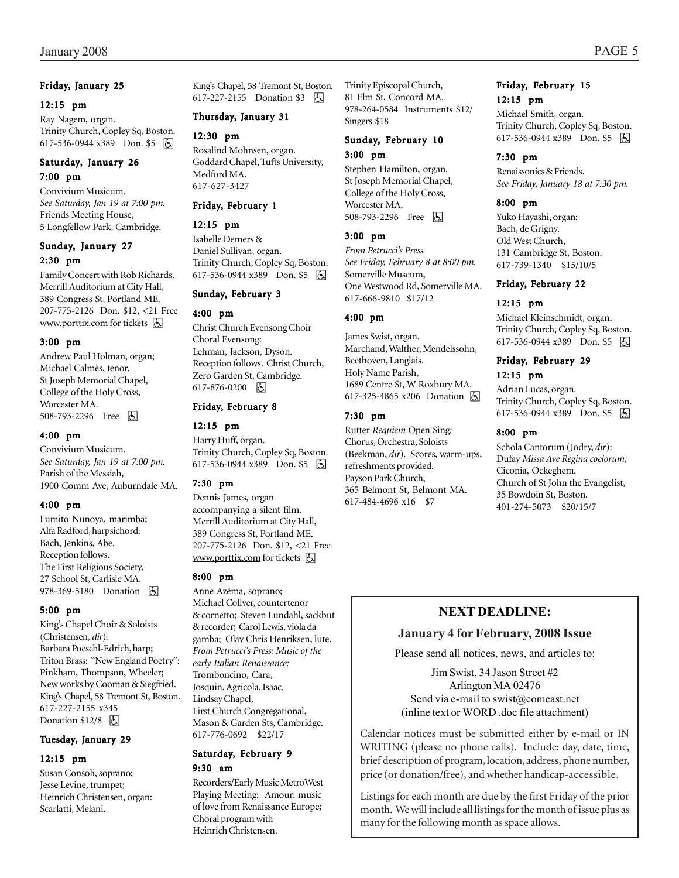#### Friday, January 25

#### 12:15 pm

Ray Nagem, organ. Trinity Church, Copley Sq, Boston. 617-536-0944 x389 Don. \$5 | A

# Saturday, January 26 7:00 pm

Convivium Musicum. *See Saturday, Jan 19 at 7:00 pm.* Friends Meeting House, 5 Longfellow Park, Cambridge.

## Sunday, January 27 2:30 pm

Family Concert with Rob Richards. Merrill Auditorium at City Hall, 389 Congress St, Portland ME. 207-775-2126 Don. \$12, <21 Free www.porttix.com for tickets **b** 

#### 3:00 pm

Andrew Paul Holman, organ; Michael Calmès, tenor. St Joseph Memorial Chapel, College of the Holy Cross, Worcester MA. 508-793-2296 Free 因

## 4:00 pm

Convivium Musicum. *See Saturday, Jan 19 at 7:00 pm.* Parish of the Messiah, 1900 Comm Ave, Auburndale MA.

## 4:00 pm

Fumito Nunoya, marimba; Alfa Radford, harpsichord: Bach, Jenkins, Abe. Reception follows. The First Religious Society, 27 School St, Carlisle MA. 978-369-5180 Donation **b** 

## 5:00 pm

King's Chapel Choir & Soloists (Christensen, *dir*): Barbara Poeschl-Edrich, harp; Triton Brass: "New England Poetry": Pinkham, Thompson, Wheeler; New works by Cooman & Siegfried. King's Chapel, 58 Tremont St, Boston. 617-227-2155 x345 Donation  $$12/8$  因

## Tuesday, January 29

## 12:15 pm

Susan Consoli, soprano; Jesse Levine, trumpet; Heinrich Christensen, organ: Scarlatti, Melani.

King's Chapel, 58 Tremont St, Boston. 617-227-2155 Donation \$3 因

# Thursday, January 31

#### 12:30 pm

Rosalind Mohnsen, organ. Goddard Chapel, Tufts University, Medford MA. 617-627-3427

# Friday, February 1

## 12:15 pm

Isabelle Demers & Daniel Sullivan, organ. Trinity Church, Copley Sq, Boston. 617-536-0944 x389 Don. \$5 因

## Sunday, February 3

#### 4:00 pm

Christ Church Evensong Choir Choral Evensong: Lehman, Jackson, Dyson. Reception follows. Christ Church, Zero Garden St, Cambridge. 617-876-0200 因

# Friday, February 8

## 12:15 pm

Harry Huff, organ. Trinity Church, Copley Sq, Boston. 617-536-0944 x389 Don. \$5

## 7:30 pm

Dennis James, organ accompanying a silent film. Merrill Auditorium at City Hall, 389 Congress St, Portland ME. 207-775-2126 Don. \$12, <21 Free www.porttix.com for tickets  $\bigotimes$ 

## 8:00 pm

Anne Azéma, soprano; Michael Collver, countertenor & cornetto; Steven Lundahl, sackbut & recorder; Carol Lewis, viola da gamba; Olav Chris Henriksen, lute. *From Petrucci's Press: Music of the early Italian Renaissance:* Tromboncino, Cara, Josquin, Agricola, Isaac. Lindsay Chapel, First Church Congregational, Mason & Garden Sts, Cambridge. 617-776-0692 \$22/17

# Saturday, February 9 9:30 am

Recorders/Early Music MetroWest Playing Meeting: Amour: music of love from Renaissance Europe; Choral program with Heinrich Christensen.

Trinity Episcopal Church, 81 Elm St, Concord MA. 978-264-0584 Instruments \$12/ Singers \$18

# Sunday, February 10

# 3:00 pm

Stephen Hamilton, organ. St Joseph Memorial Chapel, College of the Holy Cross, Worcester MA. 508-793-2296 Free 因

## 3:00 pm

*From Petrucci's Press. See Friday, February 8 at 8:00 pm.* Somerville Museum, One Westwood Rd, Somerville MA. 617-666-9810 \$17/12

## 4:00 pm

James Swist, organ. Marchand, Walther, Mendelssohn, Beethoven, Langlais. Holy Name Parish, 1689 Centre St, W Roxbury MA. 617-325-4865 x206 Donation h

#### 7:30 pm

Rutter *Requiem* Open Sing*:* Chorus, Orchestra, Soloists (Beekman, *dir*). Scores, warm-ups, refreshments provided. Payson Park Church, 365 Belmont St, Belmont MA. 617-484-4696 x16 \$7

## Friday, February 15 12:15 pm

Michael Smith, organ. Trinity Church, Copley Sq, Boston. 617-536-0944 x389 Don. \$5 因

## 7:30 pm

Renaissonics & Friends. *See Friday, January 18 at 7:30 pm.*

# 8:00 pm

Yuko Hayashi, organ: Bach, de Grigny. Old West Church, 131 Cambridge St, Boston. 617-739-1340 \$15/10/5

## Friday, February 22

# 12:15 pm

Michael Kleinschmidt, organ. Trinity Church, Copley Sq, Boston. 617-536-0944 x389 Don. \$5

## Friday, February 29 12:15 pm

Adrian Lucas, organ. Trinity Church, Copley Sq, Boston. 617-536-0944 x389 Don. \$5 | 5 |

#### 8:00 pm

Schola Cantorum (Jodry, *dir*): Dufay *Missa Ave Regina coelorum;* Ciconia, Ockeghem. Church of St John the Evangelist, 35 Bowdoin St, Boston. 401-274-5073 \$20/15/7

# **NEXT DEADLINE:**

# **January 4 for February, 2008 Issue**

Please send all notices, news, and articles to:

Jim Swist, 34 Jason Street #2 Arlington MA 02476 Send via e-mail to swist@comcast.net (inline text or WORD .doc file attachment)

. Calendar notices must be submitted either by e-mail or IN WRITING (please no phone calls). Include: day, date, time, brief description of program, location, address, phone number, price (or donation/free), and whether handicap-accessible.

Listings for each month are due by the first Friday of the prior month. We will include all listings for the month of issue plus as many for the following month as space allows.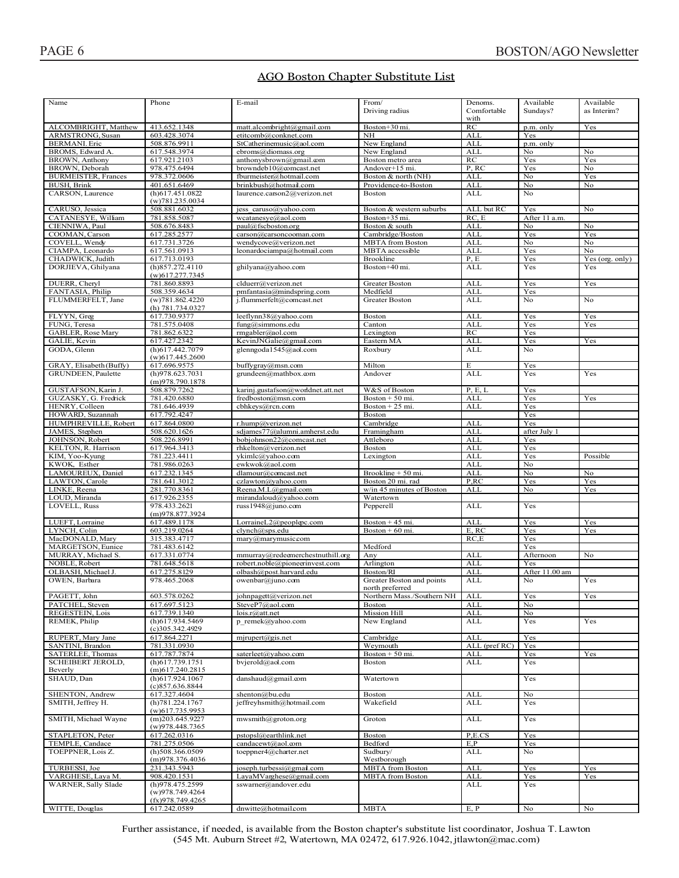# AGO Boston Chapter Substitute List

| Name                        | Phone                            | E-mail                            | From/                      |               | Available                 |                 |
|-----------------------------|----------------------------------|-----------------------------------|----------------------------|---------------|---------------------------|-----------------|
|                             |                                  |                                   |                            | Denoms.       |                           | Available       |
|                             |                                  |                                   | Driving radius             | Comfortable   | Sundays?                  | as Interim?     |
|                             |                                  |                                   |                            | with          |                           |                 |
| ALCOMBRIGHT, Matthew        | 413.652.1348                     | matt.alcombright@gmail.com        | Boston+30 mi.              | RC            | $p.m.$ only               | Yes             |
| ARMSTRONG, Susan            | 603.428.3074                     | etitcomb@conknet.com              | NH                         | <b>ALL</b>    | Yes                       |                 |
|                             |                                  |                                   |                            |               |                           |                 |
| <b>BERMANI</b> . Eric       | 508.876.9911                     | StCatherinemusic@aol.com          | New England                | <b>ALL</b>    | p.m. only                 |                 |
| BROMS, Edward A.            | 617.548.3974                     | ebroms@diomass.org                | New England                | <b>ALL</b>    | No                        | No              |
| <b>BROWN</b> , Anthony      | 617.921.2103                     | anthonysbrown@gmail.com           | Boston metro area          | RC            | Yes                       | Yes             |
| BROWN, Deborah              | 978.475.6494                     | browndeb10@comcast.net            | Andover+15 mi.             | P, RC         | Yes                       | No              |
|                             |                                  |                                   |                            |               |                           |                 |
| <b>BURMEISTER</b> , Frances | 978.372.0606                     | fburmeister@hotmail.com           | Boston & north (NH)        | <b>ALL</b>    | No                        | Yes             |
| <b>BUSH, Brink</b>          | 401.651.6469                     | brinkbush@hotmail.com             | Providence-to-Boston       | <b>ALL</b>    | No                        | No              |
| CARSON, Laurence            | $(h)$ 617.451.0822               | laurence.carson2@verizon.net      | Boston                     | <b>ALL</b>    | No                        |                 |
|                             | (w)781.235.0034                  |                                   |                            |               |                           |                 |
|                             |                                  |                                   |                            |               |                           |                 |
| CARUSO, Jessica             | 508.881.6032                     | jess caruso@yahoo.com             | Boston & western suburbs   | ALL but RC    | Yes                       | No              |
| CATANESYE, William          | 781.858.5087                     | wcatanesye@aol.com                | Boston+35 mi.              | RC, E         | After 11 a.m.             |                 |
| CIENNIWA, Paul              | 508.676.8483                     | paul@fscboston.org                | Boston & south             | <b>ALL</b>    | No                        | No              |
| COOMAN, Carson              | 617.285.2577                     | carson@carsoncooman.com           | Cambridge/Boston           | <b>ALL</b>    | Yes                       | Yes             |
|                             |                                  |                                   |                            |               |                           |                 |
| COVELL, Wendy               | 617.731.3726                     | wendycove@verizon.net             | <b>MBTA</b> from Boston    | <b>ALL</b>    | No                        | No              |
| CIAMPA, Leonardo            | 617.561.0913                     | leonardociampa@hotmail.com        | MBTA accessible            | <b>ALL</b>    | Yes                       | No              |
| CHADWICK, Judith            | 617.713.0193                     |                                   | Brookline                  | P, E          | Yes                       | Yes (org. only) |
| DORJIEVA, Ghilyana          | (h)857.272.4110                  |                                   | Boston+40 mi.              | <b>ALL</b>    | Yes                       | Yes             |
|                             |                                  | ghilyana@yahoo.com                |                            |               |                           |                 |
|                             | $(w)$ 617.277.7345               |                                   |                            |               |                           |                 |
| DUERR, Cheryl               | 781.860.8893                     | clduerr@verizon.net               | <b>Greater Boston</b>      | <b>ALL</b>    | Yes                       | Yes             |
| FANTASIA, Philip            | 508.359.4634                     | pmfantasia@mindspring.com         | Medfield                   | <b>ALL</b>    | Yes                       |                 |
|                             |                                  |                                   |                            |               | No                        | N <sub>0</sub>  |
| FLUMMERFELT, Jane           | (w)781.862.4220                  | j.flummerfelt@comcast.net         | <b>Greater Boston</b>      | <b>ALL</b>    |                           |                 |
|                             | (h) 781.734.0327                 |                                   |                            |               |                           |                 |
| FLYYN, Greg                 | 617.730.9377                     | leeflynn38@yahoo.com              | Boston                     | <b>ALL</b>    | Yes                       | Yes             |
| FUNG, Teresa                | 781.575.0408                     | $fung@sim$ nons.edu               | Canton                     | <b>ALL</b>    | Yes                       | Yes             |
|                             |                                  |                                   |                            |               |                           |                 |
| GABLER, Rose Mary           | 781.862.6322                     | rmgabler@aol.com                  | Lexington                  | RC            | Yes                       |                 |
| GALIE, Kevin                | 617.427.2342                     | KevinJNGalie@gmail.com            | Eastern MA                 | <b>ALL</b>    | Yes                       | Yes             |
| GODA, Glenn                 | $(h)$ 617.442.7079               | glenngoda1545@aol.com             | Roxbury                    | <b>ALL</b>    | No                        |                 |
|                             | $(w)$ 617.445.2600               |                                   |                            |               |                           |                 |
|                             |                                  |                                   |                            |               |                           |                 |
| GRAY, Elisabeth (Buffy)     | 617.696.9575                     | buffygray@msn.com                 | Milton                     | E             | Yes                       |                 |
| GRUNDEEN, Paulette          | (h)978.623.7031                  | grundeen@mathbox.com              | Andover                    | <b>ALL</b>    | Yes                       | Yes             |
|                             | (m)978.790.1878                  |                                   |                            |               |                           |                 |
| GUSTAFSON, Karin J.         | 508.879.7262                     | karinj.gustafson@worldnet.att.net | W&S of Boston              | P, E, L       | Yes                       |                 |
|                             |                                  |                                   |                            |               |                           |                 |
| GUZASKY, G. Fredrick        | 781.420.6880                     | fredboston@msn.com                | Boston $+50$ mi.           | <b>ALL</b>    | Yes                       | Yes             |
| HENRY, Colleen              | 781.646.4939                     | cbhkeys@rcn.com                   | Boston + $25$ mi.          | <b>ALL</b>    | Yes                       |                 |
| HOWARD, Suzannah            | 617.792.4247                     |                                   | Boston                     |               | $\overline{\mathrm{Yes}}$ |                 |
|                             |                                  |                                   |                            |               |                           |                 |
| HUMPHREVILLE, Robert        | 617.864.0800                     | r.hump@verizon.net                | Cambridge                  | <b>ALL</b>    | Yes                       |                 |
| JAMES, Stephen              | 508.620.1626                     | sdjames77@alumni.amherst.edu      | Framingham                 | <b>ALL</b>    | after July 1              |                 |
| JOHNSON, Robert             | 508.226.8991                     | bobjohnson22@comcast.net          | Attleboro                  | <b>ALL</b>    | Yes                       |                 |
| KELTON, R. Harrison         | 617.964.3413                     | rhkelton@verizon.net              | Boston                     | <b>ALL</b>    | Yes                       |                 |
|                             |                                  |                                   |                            |               |                           |                 |
| KIM, Yoo-Kyung              | 781.223.4411                     | ykimlc@yahoo.com                  | Lexington                  | <b>ALL</b>    | Yes                       | Possible        |
| KWOK, Esther                | 781.986.0263                     | ewkwok@aol.com                    |                            | <b>ALL</b>    | $\overline{No}$           |                 |
| LAMOUREUX, Daniel           | 617.232.1345                     | dlamour@comcast.net               | Brookline + 50 mi.         | <b>ALL</b>    | $\overline{No}$           | No              |
|                             |                                  |                                   |                            |               |                           |                 |
| LAWTON, Carole              | 781.641.3012                     | czlawton@yahoo.com                | Boston 20 mi. rad          | P, RC         | Yes                       | Yes             |
| LINKE, Reena                | 281.770.8361                     | Reena.M.L@gmail.com               | w/in 45 minutes of Boston  | <b>ALL</b>    | No                        | Yes             |
| LOUD, Miranda               | 617.926.2355                     | mirandaloud@yahoo.com             | Watertown                  |               |                           |                 |
| LOVELL, Russ                | 978.433.2621                     | russ1948@juno.com                 | Pepperell                  | <b>ALL</b>    | Yes                       |                 |
|                             |                                  |                                   |                            |               |                           |                 |
|                             | (m)978.877.3924                  |                                   |                            |               |                           |                 |
| LUEFT, Lorraine             | 617.489.1178                     | LorraineL2@peoplepc.com           | Boston $+45$ mi.           | <b>ALL</b>    | Yes                       | Yes             |
| LYNCH, Colin                | 603.219.0264                     | clynch@sps.edu                    | Boston + $60$ mi.          | E, RC         | Yes                       | Yes             |
| MacDONALD, Mary             |                                  | mary@marymusic.com                |                            |               |                           |                 |
|                             |                                  |                                   |                            |               |                           |                 |
|                             | 315.383.4717                     |                                   |                            | RC, E         | Yes                       |                 |
| MARGETSON, Eunice           | 781.483.6142                     |                                   | Medford                    |               | Yes                       |                 |
| MURRAY, Michael S.          | 617.331.0774                     | mmurray@redeemerchestnuthill.org  | Any                        | <b>ALL</b>    | Afternoon                 | No              |
| NOBLE, Robert               | 781.648.5618                     | robert.noble@pioneerinvest.com    | Arlington                  | <b>ALL</b>    | Yes                       |                 |
|                             |                                  |                                   |                            |               |                           |                 |
| OLBASH, Michael J.          | 617.275.8129                     | olbash@post.harvard.edu           | Boston/RI                  | <b>ALL</b>    | After 11.00 am            |                 |
| OWEN, Barbara               | 978.465.2068                     | owenbar@juno.com                  | Greater Boston and points  | <b>ALL</b>    | No.                       | Yes             |
|                             |                                  |                                   | north preferred            |               |                           |                 |
|                             |                                  |                                   |                            |               |                           |                 |
| PAGETT, John                | 603.578.0262                     | johnpagett@verizon.net            | Northern Mass./Southern NH | ALL           | Yes                       | Yes             |
| PATCHEL, Steven             | 617.697.5123                     | SteveP7@aol.com                   | Boston                     | ALL           | No                        |                 |
| REGESTEIN, Lois             | 617.739.1340                     | lois.r@att.net                    | Mission Hill               | ALL           | No                        |                 |
| REMEK, Philip               | $(h)$ 617.934.5469               | p_remek@yahoo.com                 | New England                | ALL           | Yes                       | Yes             |
|                             | $(c)$ 305.342.4929               |                                   |                            |               |                           |                 |
|                             |                                  |                                   |                            |               |                           |                 |
| RUPERT, Mary Jane           | 617.864.2271                     | mjrupert@gis.net                  | Cambridge                  | <b>ALL</b>    | Yes                       |                 |
| SANTINI, Brandon            | 781.331.0930                     |                                   | Weymouth                   | ALL (pref RC) | Yes                       |                 |
| SATERLEE, Thomas            | 617.787.7874                     | saterleet@yahoo.com               | Boston + 50 mi.            | ALL           | Yes                       | Yes             |
|                             |                                  |                                   | Boston                     |               | Yes                       |                 |
| <b>SCHEIBERT JEROLD,</b>    | $(h)$ 617.739.1751               | bvjerold@aol.com                  |                            | ALL           |                           |                 |
| Beverly                     | $(m)$ 617.240.2815               |                                   |                            |               |                           |                 |
| SHAUD, Dan                  | $(h)$ 617.924.1067               | danshaud@gmail.com                | Watertown                  |               | Yes                       |                 |
|                             | (c)857.636.8844                  |                                   |                            |               |                           |                 |
| SHENTON, Andrew             | 617.327.4604                     | shenton@bu.edu                    | Boston                     | <b>ALL</b>    | No                        |                 |
|                             |                                  |                                   |                            |               |                           |                 |
| SMITH, Jeffrey H.           | (h)781.224.1767                  | jeffreyhsmith@hotmail.com         | Wakefield                  | ALL           | Yes                       |                 |
|                             | $(w)$ 617.735.9953               |                                   |                            |               |                           |                 |
| SMITH, Michael Wayne        | $(m)$ 203.645.9227               | mwsmith@groton.org                | Groton                     | ALL           | Yes                       |                 |
|                             | (w)978.448.7365                  |                                   |                            |               |                           |                 |
|                             |                                  |                                   |                            |               |                           |                 |
| STAPLETON, Peter            | 617.262.0316                     | pstopsl@earthlink.net             | Boston                     | P, E.CS       | Yes                       |                 |
| TEMPLE, Candace             | 781.275.0506                     | candacewt@aol.com                 | Bedford                    | E, P          | Yes                       |                 |
| TOEPPNER, Lois Z.           | $(h)$ 508.366.0509               | toeppner4@charter.net             | Sudbury/                   | ALL           | No                        |                 |
|                             | (m)978.376.4036                  |                                   | Westborough                |               |                           |                 |
|                             |                                  |                                   |                            |               |                           |                 |
| TURBESSI, Joe               | 231.343.5943                     | joseph.turbessi@gmail.com         | <b>MBTA</b> from Boston    | ALL           | Yes                       | Yes             |
| VARGHESE, Laya M.           | 908.420.1531                     | LayaMVarghese@gmail.com           | <b>MBTA</b> from Boston    | <b>ALL</b>    | Yes                       | Yes             |
| WARNER, Sally Slade         | (h)978.475.2599                  | sswarner@andover.edu              |                            | ALL           | Yes                       |                 |
|                             | (w)978.749.4264                  |                                   |                            |               |                           |                 |
|                             |                                  |                                   |                            |               |                           |                 |
| WITTE, Douglas              | (fx)978.749.4265<br>617.242.0589 | dnwitte@hotmail.com               | <b>MBTA</b>                | E, P          | No                        | No              |

Further assistance, if needed, is available from the Boston chapter's substitute list coordinator, Joshua T. Lawton  $(545 \text{ Mt}$ . Auburn Street #2. Watertown, MA 02472, 617,926,1042, itlawton@mac.com)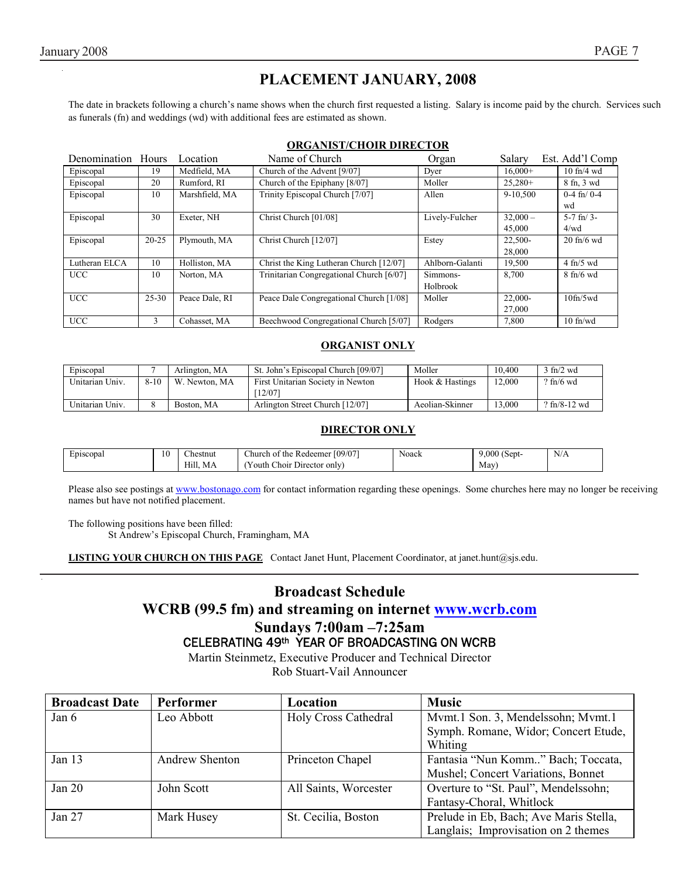# **PLACEMENT JANUARY, 2008**

The date in brackets following a church's name shows when the church first requested a listing. Salary is income paid by the church. Services such as funerals (fn) and weddings (wd) with additional fees are estimated as shown.

## **ORGANIST/CHOIR DIRECTOR**

| Denomination Hours |               | Location       | Name of Church                           | Organ           | Salary     | Est. Add'l Comp             |
|--------------------|---------------|----------------|------------------------------------------|-----------------|------------|-----------------------------|
| Episcopal          | 19            | Medfield, MA   | Church of the Advent [9/07]              | Dver            | $16,000+$  | $10$ fn/4 wd                |
| Episcopal          | 20            | Rumford, RI    | Church of the Epiphany [8/07]            | Moller          | $25.280+$  | 8 fn, 3 wd                  |
| Episcopal          | 10            | Marshfield, MA | Trinity Episcopal Church [7/07]          | Allen           | 9-10.500   | $0-4$ fn/ $0-4$             |
|                    |               |                |                                          |                 |            | wd                          |
| Episcopal          | 30            | Exeter, NH     | Christ Church [01/08]                    | Lively-Fulcher  | $32,000 -$ | $5-7$ fn/ $3-$              |
|                    |               |                |                                          |                 | 45,000     | 4/wd                        |
| Episcopal          | $20 - 25$     | Plymouth, MA   | Christ Church [12/07]                    | Estey           | 22.500-    | $20$ fn/6 wd                |
|                    |               |                |                                          |                 | 28,000     |                             |
| Lutheran ELCA      | 10            | Holliston, MA  | Christ the King Lutheran Church [12/07]  | Ahlborn-Galanti | 19,500     | $4$ fn/5 wd                 |
| <b>UCC</b>         | 10            | Norton, MA     | Trinitarian Congregational Church [6/07] | Simmons-        | 8,700      | $8 \text{ ft}/6 \text{ wd}$ |
|                    |               |                |                                          | Holbrook        |            |                             |
| <b>UCC</b>         | $25 - 30$     | Peace Dale, RI | Peace Dale Congregational Church [1/08]  | Moller          | $22.000 -$ | $10$ fn/ $5$ wd             |
|                    |               |                |                                          |                 | 27,000     |                             |
| <b>UCC</b>         | $\mathcal{E}$ | Cohasset, MA   | Beechwood Congregational Church [5/07]   | Rodgers         | 7,800      | $10$ fn/wd                  |

# **ORGANIST ONLY**

| Episcopal       |          | Arlington, MA | St. John's Episcopal Church [09/07]        | Moller          | 10.400 | $3 \text{ ft}/2 \text{ wd}$         |
|-----------------|----------|---------------|--------------------------------------------|-----------------|--------|-------------------------------------|
| Unitarian Univ. | $8 - 10$ | W. Newton, MA | First Unitarian Society in Newton<br>12/07 | Hook & Hastings | 12.000 | $\frac{9 \text{ ft}}{6 \text{ wd}}$ |
| Unitarian Univ. |          | Boston, MA    | Arlington Street Church [12/07]            | Aeolian-Skinner | 13.000 | $?$ fn/8-12 wd                      |

# **DIRECTOR ONLY**

| <b>CONTRACTOR</b><br>Episcopa. | 10 | $\sim$<br>∠hestnut | [09/07]<br>hurch of the<br>Redeemer                    | Noack | .000<br>$\sim$<br>(Sept- | N/A |
|--------------------------------|----|--------------------|--------------------------------------------------------|-------|--------------------------|-----|
|                                |    | Hill.<br>МA        | -<br>$\sim$<br>: Director only'<br>. Choir .<br>r outh |       | Mav                      |     |

Please also see postings at www.bostonago.com for contact information regarding these openings. Some churches here may no longer be receiving names but have not notified placement.

The following positions have been filled:

St Andrew's Episcopal Church, Framingham, MA

**LISTING YOUR CHURCH ON THIS PAGE** Contact Janet Hunt, Placement Coordinator, at janet.hunt@sjs.edu.

# **Broadcast Schedule**

# **WCRB (99.5 fm) and streaming on internet www.wcrb.com Sundays 7:00am –7:25am**  CELEBRATING 49th YEAR OF BROADCASTING ON WCRB

Martin Steinmetz, Executive Producer and Technical Director Rob Stuart-Vail Announcer

| <b>Broadcast Date</b> | <b>Performer</b> | Location              | <b>Music</b>                           |
|-----------------------|------------------|-----------------------|----------------------------------------|
| Jan 6                 | Leo Abbott       | Holy Cross Cathedral  | Mymt.1 Son. 3, Mendelssohn; Mymt.1     |
|                       |                  |                       | Symph. Romane, Widor; Concert Etude,   |
|                       |                  |                       | Whiting                                |
| Jan $13$              | Andrew Shenton   | Princeton Chapel      | Fantasia "Nun Komm" Bach; Toccata,     |
|                       |                  |                       | Mushel; Concert Variations, Bonnet     |
| Jan 20                | John Scott       | All Saints, Worcester | Overture to "St. Paul", Mendelssohn;   |
|                       |                  |                       | Fantasy-Choral, Whitlock               |
| Jan 27                | Mark Husey       | St. Cecilia, Boston   | Prelude in Eb, Bach; Ave Maris Stella, |
|                       |                  |                       | Langlais; Improvisation on 2 themes    |